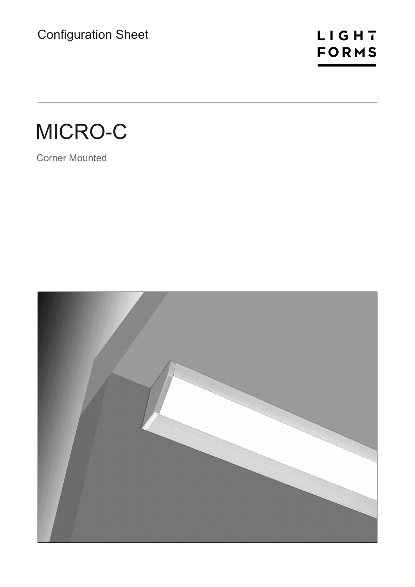## LIGHT **FORMS**

# MICRO-C

Corner Mounted

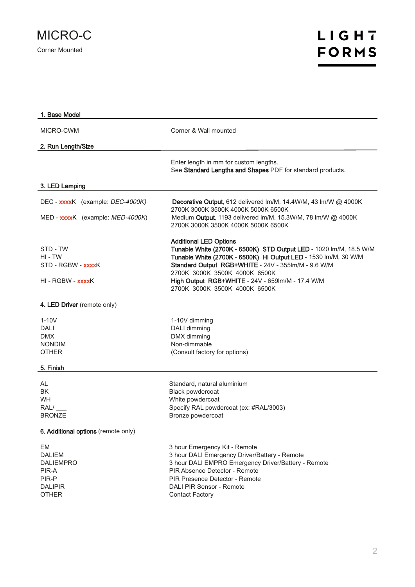

| 1. Base Model                                                                               |                                                                                                                                                                                                                                                                                                                                                     |
|---------------------------------------------------------------------------------------------|-----------------------------------------------------------------------------------------------------------------------------------------------------------------------------------------------------------------------------------------------------------------------------------------------------------------------------------------------------|
| MICRO-CWM                                                                                   | Corner & Wall mounted                                                                                                                                                                                                                                                                                                                               |
| 2. Run Length/Size                                                                          |                                                                                                                                                                                                                                                                                                                                                     |
|                                                                                             | Enter length in mm for custom lengths.<br>See Standard Lengths and Shapes PDF for standard products.                                                                                                                                                                                                                                                |
| 3. LED Lamping                                                                              |                                                                                                                                                                                                                                                                                                                                                     |
| DEC - xxxxK (example: DEC-4000K)<br>MED - xxxxK (example: MED-4000K)                        | Decorative Output, 612 delivered Im/M, 14.4W/M, 43 Im/W @ 4000K<br>2700K 3000K 3500K 4000K 5000K 6500K<br>Medium Output, 1193 delivered Im/M, 15.3W/M, 78 Im/W @ 4000K                                                                                                                                                                              |
|                                                                                             | 2700K 3000K 3500K 4000K 5000K 6500K                                                                                                                                                                                                                                                                                                                 |
| STD - TW<br>HI - TW<br>STD - RGBW - xxxxK<br>HI - RGBW - xxxxK                              | <b>Additional LED Options</b><br>Tunable White (2700K - 6500K) STD Output LED - 1020 lm/M, 18.5 W/M<br>Tunable White (2700K - 6500K) HI Output LED - 1530 Im/M, 30 W/M<br>Standard Output RGB+WHITE - 24V - 355Im/M - 9.6 W/M<br>2700K 3000K 3500K 4000K 6500K<br>High Output RGB+WHITE - 24V - 659Im/M - 17.4 W/M<br>2700K 3000K 3500K 4000K 6500K |
| 4. LED Driver (remote only)                                                                 |                                                                                                                                                                                                                                                                                                                                                     |
| $1-10V$<br>DALI<br><b>DMX</b><br><b>NONDIM</b><br><b>OTHER</b>                              | 1-10V dimming<br>DALI dimming<br>DMX dimming<br>Non-dimmable<br>(Consult factory for options)                                                                                                                                                                                                                                                       |
| 5. Finish                                                                                   |                                                                                                                                                                                                                                                                                                                                                     |
| AL<br><b>BK</b><br><b>WH</b><br>RAL/<br><b>BRONZE</b>                                       | Standard, natural aluminium<br>Black powdercoat<br>White powdercoat<br>Specify RAL powdercoat (ex: #RAL/3003)<br>Bronze powdercoat                                                                                                                                                                                                                  |
| 6. Additional options (remote only)                                                         |                                                                                                                                                                                                                                                                                                                                                     |
| EM<br><b>DALIEM</b><br><b>DALIEMPRO</b><br>PIR-A<br>PIR-P<br><b>DALIPIR</b><br><b>OTHER</b> | 3 hour Emergency Kit - Remote<br>3 hour DALI Emergency Driver/Battery - Remote<br>3 hour DALI EMPRO Emergency Driver/Battery - Remote<br>PIR Absence Detector - Remote<br>PIR Presence Detector - Remote<br>DALI PIR Sensor - Remote<br><b>Contact Factory</b>                                                                                      |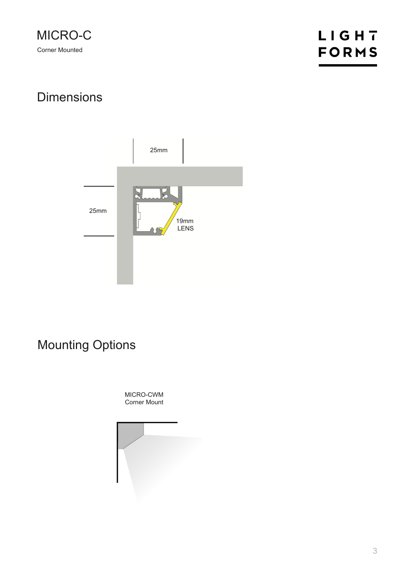### **Dimensions**



### Mounting Options

MICRO-CWM Corner Mount